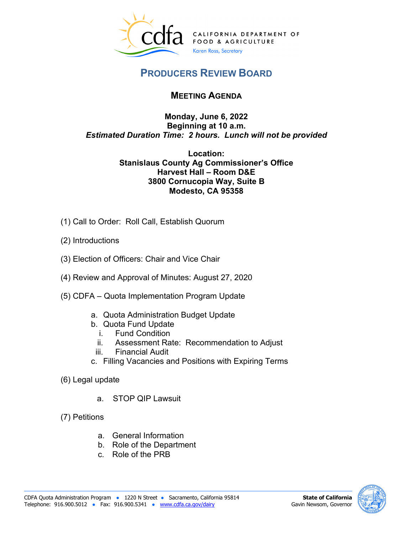

## **PRODUCERS REVIEW BOARD**

## **MEETING AGENDA**

## **Monday, June 6, 2022 Beginning at 10 a.m.**   *Estimated Duration Time: 2 hours. Lunch will not be provided*

## **Stanislaus County Ag Commissioner's Office Location: Harvest Hall – Room D&E 3800 Cornucopia Way, Suite B Modesto, CA 95358**

- (1) Call to Order: Roll Call, Establish Quorum
- (2) Introductions
- (1) Call to Order: Roll Call, Establish Quorum (2) Introductions (3) Election of Officers: Chair and Vice Chair
- (4) Review and Approval of Minutes: August 27, 2020
- (5) CDFA Quota Implementation Program Update
	- a. Quota Administration Budget Update
	- b. Quota Fund Update
		- i. Fund Condition
		- ii. Assessment Rate: Recommendation to Adjust<br>iii. Financial Audit
		-
	- c. Filling Vacancies and Positions with Expiring Terms
- (6) Legal update
	- a. STOP QIP Lawsuit
- (7) Petitions
	- a. General Information
	- b. Role of the Department
	- c. Role of the PRB